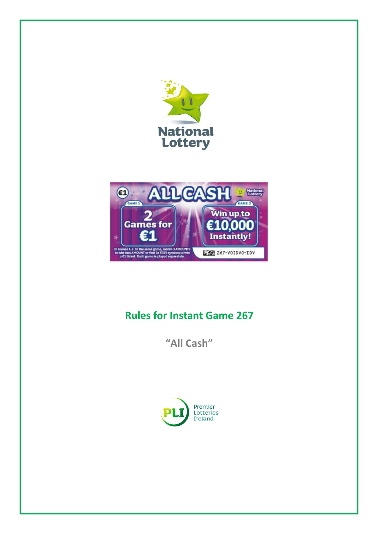



# **Rules for Instant Game 267**

**"All Cash"** 

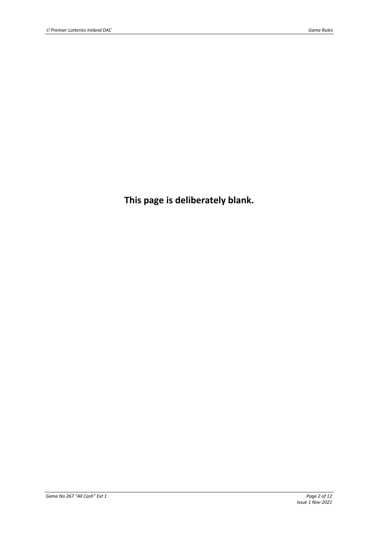**This page is deliberately blank.**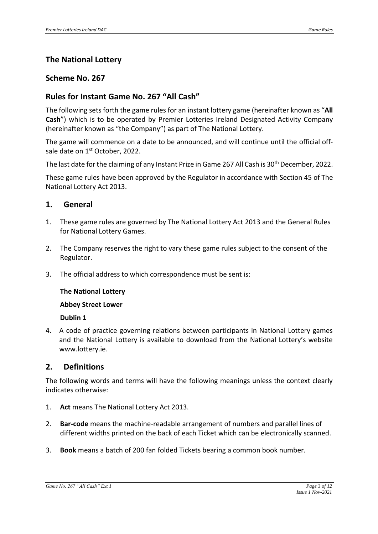## **The National Lottery**

## **Scheme No. 267**

## **Rules for Instant Game No. 267 "All Cash"**

The following sets forth the game rules for an instant lottery game (hereinafter known as "**All Cash**") which is to be operated by Premier Lotteries Ireland Designated Activity Company (hereinafter known as "the Company") as part of The National Lottery.

The game will commence on a date to be announced, and will continue until the official offsale date on 1<sup>st</sup> October, 2022.

The last date for the claiming of any Instant Prize in Game 267 All Cash is 30<sup>th</sup> December, 2022.

These game rules have been approved by the Regulator in accordance with Section 45 of The National Lottery Act 2013.

## **1. General**

- 1. These game rules are governed by The National Lottery Act 2013 and the General Rules for National Lottery Games.
- 2. The Company reserves the right to vary these game rules subject to the consent of the Regulator.
- 3. The official address to which correspondence must be sent is:

## **The National Lottery**

## **Abbey Street Lower**

## **Dublin 1**

4. A code of practice governing relations between participants in National Lottery games and the National Lottery is available to download from the National Lottery's website [www.lottery.ie.](http://www.lottery.ie/)

## **2. Definitions**

The following words and terms will have the following meanings unless the context clearly indicates otherwise:

- 1. **Act** means The National Lottery Act 2013.
- 2. **Bar-code** means the machine-readable arrangement of numbers and parallel lines of different widths printed on the back of each Ticket which can be electronically scanned.
- 3. **Book** means a batch of 200 fan folded Tickets bearing a common book number.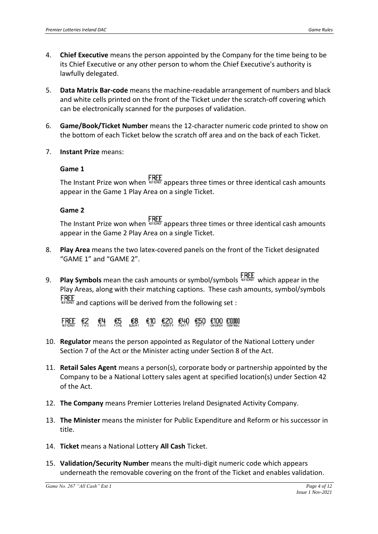- 4. **Chief Executive** means the person appointed by the Company for the time being to be its Chief Executive or any other person to whom the Chief Executive's authority is lawfully delegated.
- 5. **Data Matrix Bar-code** means the machine-readable arrangement of numbers and black and white cells printed on the front of the Ticket under the scratch-off covering which can be electronically scanned for the purposes of validation.
- 6. **Game/Book/Ticket Number** means the 12-character numeric code printed to show on the bottom of each Ticket below the scratch off area and on the back of each Ticket.
- 7. **Instant Prize** means:

## **Game 1**

The Instant Prize won when **FREE**<br>The Instant Prize won when **sheet** appears three times or three identical cash amounts appear in the Game 1 Play Area on a single Ticket.

## **Game 2**

The Instant Prize won when **FREE**<br>The Instant Prize won when **all appears three times or three identical cash amounts** appear in the Game 2 Play Area on a single Ticket.

- 8. **Play Area** means the two latex-covered panels on the front of the Ticket designated "GAME 1" and "GAME 2".
- 9. **Play Symbols** mean the cash amounts or symbol/symbols which appear in the Play Areas, along with their matching captions. These cash amounts, symbol/symbols **FREE**<br>share and captions will be derived from the following set :

FREE €2 £11 €5 €8 €10 €20 €110 €50 €100 €1000

- 10. **Regulator** means the person appointed as Regulator of the National Lottery under Section 7 of the Act or the Minister acting under Section 8 of the Act.
- 11. **Retail Sales Agent** means a person(s), corporate body or partnership appointed by the Company to be a National Lottery sales agent at specified location(s) under Section 42 of the Act.
- 12. **The Company** means Premier Lotteries Ireland Designated Activity Company.
- 13. **The Minister** means the minister for Public Expenditure and Reform or his successor in title.
- 14. **Ticket** means a National Lottery **All Cash** Ticket.
- 15. **Validation/Security Number** means the multi-digit numeric code which appears underneath the removable covering on the front of the Ticket and enables validation.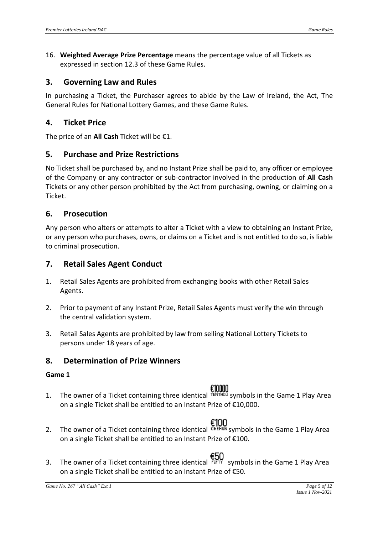16. **Weighted Average Prize Percentage** means the percentage value of all Tickets as expressed in section 12.3 of these Game Rules.

## **3. Governing Law and Rules**

In purchasing a Ticket, the Purchaser agrees to abide by the Law of Ireland, the Act, The General Rules for National Lottery Games, and these Game Rules.

## **4. Ticket Price**

The price of an **All Cash** Ticket will be €1.

## **5. Purchase and Prize Restrictions**

No Ticket shall be purchased by, and no Instant Prize shall be paid to, any officer or employee of the Company or any contractor or sub-contractor involved in the production of **All Cash** Tickets or any other person prohibited by the Act from purchasing, owning, or claiming on a Ticket.

## **6. Prosecution**

Any person who alters or attempts to alter a Ticket with a view to obtaining an Instant Prize, or any person who purchases, owns, or claims on a Ticket and is not entitled to do so, is liable to criminal prosecution.

## **7. Retail Sales Agent Conduct**

- 1. Retail Sales Agents are prohibited from exchanging books with other Retail Sales Agents.
- 2. Prior to payment of any Instant Prize, Retail Sales Agents must verify the win through the central validation system.
- 3. Retail Sales Agents are prohibited by law from selling National Lottery Tickets to persons under 18 years of age.

## **8. Determination of Prize Winners**

## **Game 1**

<sup>€</sup> 10000 [1000]<br>1. The owner of a Ticket containing three identical TENTHOU symbols in the Game 1 Play Area on a single Ticket shall be entitled to an Instant Prize of €10,000.

<sup>2</sup>. The owner of a Ticket containing three identical divertion symbols in the Game 1 Play Area on a single Ticket shall be entitled to an Instant Prize of €100.

3. The owner of a Ticket containing three identical FIFTY symbols in the Game 1 Play Area on a single Ticket shall be entitled to an Instant Prize of €50.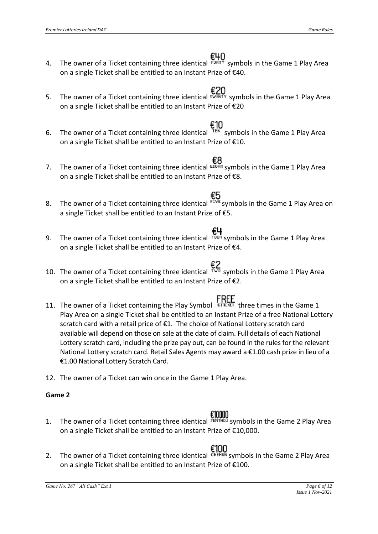4. The owner of a Ticket containing three identical  $\mathbf{f}^{\text{U}}$  symbols in the Game 1 Play Area on a single Ticket shall be entitled to an Instant Prize of €40.

5. The owner of a Ticket containing three identical TWENTY symbols in the Game 1 Play Area on a single Ticket shall be entitled to an Instant Prize of €20

6. The owner of a Ticket containing three identical  $\bigoplus_{T \in \mathbb{N}}^{\infty}$  symbols in the Game 1 Play Area on a single Ticket shall be entitled to an Instant Prize of €10.

<sup>€8</sup><br>7. The owner of a Ticket containing three identical EIGHT symbols in the Game 1 Play Area on a single Ticket shall be entitled to an Instant Prize of €8.

# 8. The owner of a Ticket containing three identical  $E_{\text{TV}}^{\text{E}}$  symbols in the Game 1 Play Area on a single Ticket shall be entitled to an Instant Prize of €5.

- €4<br>9. The owner of a Ticket containing three identical F<sup>our</sup> symbols in the Game 1 Play Area on a single Ticket shall be entitled to an Instant Prize of €4.
- 10. The owner of a Ticket containing three identical  $\overline{t}Z$  symbols in the Game 1 Play Area on a single Ticket shall be entitled to an Instant Prize of €2.
- 11. The owner of a Ticket containing the Play Symbol **ENCL**<br>11. The owner of a Ticket containing the Play Symbol **ETHCL** Play Area on a single Ticket shall be entitled to an Instant Prize of a free National Lottery scratch card with a retail price of €1. The choice of National Lottery scratch card available will depend on those on sale at the date of claim. Full details of each National Lottery scratch card, including the prize pay out, can be found in the rules for the relevant National Lottery scratch card. Retail Sales Agents may award a €1.00 cash prize in lieu of a €1.00 National Lottery Scratch Card.
- 12. The owner of a Ticket can win once in the Game 1 Play Area.

## **Game 2**

1. The owner of a Ticket containing three identical TENTHOU symbols in the Game 2 Play Area on a single Ticket shall be entitled to an Instant Prize of €10,000.

## €100

2. The owner of a Ticket containing three identical CREE Symbols in the Game 2 Play Area on a single Ticket shall be entitled to an Instant Prize of €100.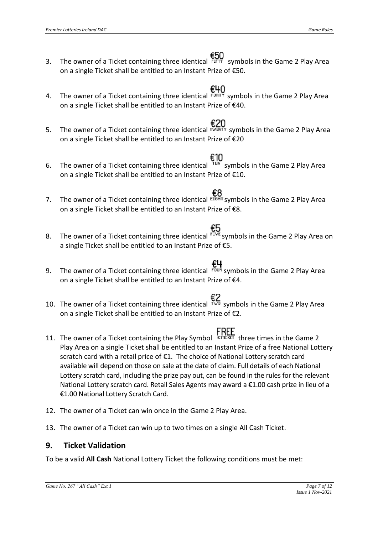- 3. The owner of a Ticket containing three identical  $\epsilon$ 50 symbols in the Game 2 Play Area on a single Ticket shall be entitled to an Instant Prize of €50.
- 4. The owner of a Ticket containing three identical  $\mathbf{f}_{\text{DRTY}}^{\text{H}}$  symbols in the Game 2 Play Area on a single Ticket shall be entitled to an Instant Prize of €40.

5. The owner of a Ticket containing three identical TWENTY symbols in the Game 2 Play Area on a single Ticket shall be entitled to an Instant Prize of €20

6. The owner of a Ticket containing three identical  $\vec{f}$ <sup>th</sup> symbols in the Game 2 Play Area on a single Ticket shall be entitled to an Instant Prize of €10.

<sup>€</sup>8<br>7. The owner of a Ticket containing three identical EIGHT symbols in the Game 2 Play Area on a single Ticket shall be entitled to an Instant Prize of €8.

8. The owner of a Ticket containing three identical  $F^{\text{IVE}}$  symbols in the Game 2 Play Area on a single Ticket shall be entitled to an Instant Prize of €5.

9. The owner of a Ticket containing three identical  $\mathbf{H}$  symbols in the Game 2 Play Area on a single Ticket shall be entitled to an Instant Prize of €4.

10. The owner of a Ticket containing three identical  $\overline{t}Z$  symbols in the Game 2 Play Area on a single Ticket shall be entitled to an Instant Prize of €2.

- **11.** The owner of a Ticket containing the Play Symbol **EREE**<br>11. The owner of a Ticket containing the Play Symbol **ETHE** Play Area on a single Ticket shall be entitled to an Instant Prize of a free National Lottery scratch card with a retail price of €1. The choice of National Lottery scratch card available will depend on those on sale at the date of claim. Full details of each National Lottery scratch card, including the prize pay out, can be found in the rules for the relevant National Lottery scratch card. Retail Sales Agents may award a €1.00 cash prize in lieu of a €1.00 National Lottery Scratch Card.
- 12. The owner of a Ticket can win once in the Game 2 Play Area.
- 13. The owner of a Ticket can win up to two times on a single All Cash Ticket.

## **9. Ticket Validation**

To be a valid **All Cash** National Lottery Ticket the following conditions must be met: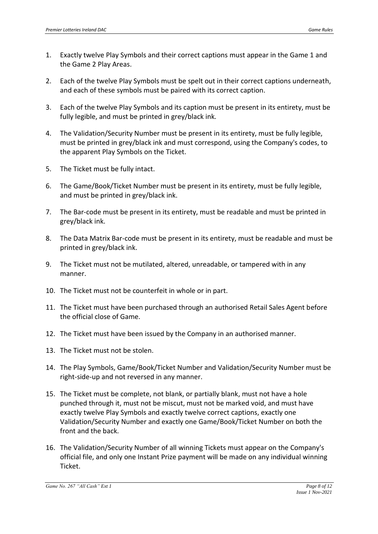- 1. Exactly twelve Play Symbols and their correct captions must appear in the Game 1 and the Game 2 Play Areas.
- 2. Each of the twelve Play Symbols must be spelt out in their correct captions underneath, and each of these symbols must be paired with its correct caption.
- 3. Each of the twelve Play Symbols and its caption must be present in its entirety, must be fully legible, and must be printed in grey/black ink.
- 4. The Validation/Security Number must be present in its entirety, must be fully legible, must be printed in grey/black ink and must correspond, using the Company's codes, to the apparent Play Symbols on the Ticket.
- 5. The Ticket must be fully intact.
- 6. The Game/Book/Ticket Number must be present in its entirety, must be fully legible, and must be printed in grey/black ink.
- 7. The Bar-code must be present in its entirety, must be readable and must be printed in grey/black ink.
- 8. The Data Matrix Bar-code must be present in its entirety, must be readable and must be printed in grey/black ink.
- 9. The Ticket must not be mutilated, altered, unreadable, or tampered with in any manner.
- 10. The Ticket must not be counterfeit in whole or in part.
- 11. The Ticket must have been purchased through an authorised Retail Sales Agent before the official close of Game.
- 12. The Ticket must have been issued by the Company in an authorised manner.
- 13. The Ticket must not be stolen.
- 14. The Play Symbols, Game/Book/Ticket Number and Validation/Security Number must be right-side-up and not reversed in any manner.
- 15. The Ticket must be complete, not blank, or partially blank, must not have a hole punched through it, must not be miscut, must not be marked void, and must have exactly twelve Play Symbols and exactly twelve correct captions, exactly one Validation/Security Number and exactly one Game/Book/Ticket Number on both the front and the back.
- 16. The Validation/Security Number of all winning Tickets must appear on the Company's official file, and only one Instant Prize payment will be made on any individual winning Ticket.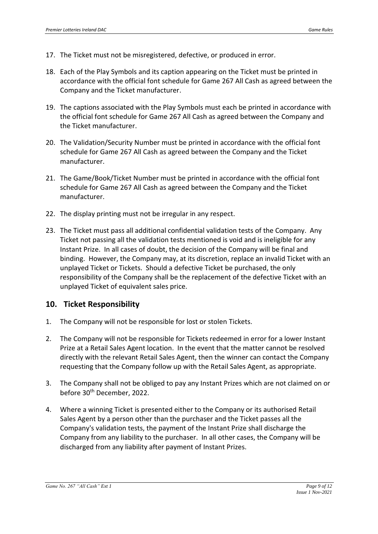- 17. The Ticket must not be misregistered, defective, or produced in error.
- 18. Each of the Play Symbols and its caption appearing on the Ticket must be printed in accordance with the official font schedule for Game 267 All Cash as agreed between the Company and the Ticket manufacturer.
- 19. The captions associated with the Play Symbols must each be printed in accordance with the official font schedule for Game 267 All Cash as agreed between the Company and the Ticket manufacturer.
- 20. The Validation/Security Number must be printed in accordance with the official font schedule for Game 267 All Cash as agreed between the Company and the Ticket manufacturer.
- 21. The Game/Book/Ticket Number must be printed in accordance with the official font schedule for Game 267 All Cash as agreed between the Company and the Ticket manufacturer.
- 22. The display printing must not be irregular in any respect.
- 23. The Ticket must pass all additional confidential validation tests of the Company. Any Ticket not passing all the validation tests mentioned is void and is ineligible for any Instant Prize. In all cases of doubt, the decision of the Company will be final and binding. However, the Company may, at its discretion, replace an invalid Ticket with an unplayed Ticket or Tickets. Should a defective Ticket be purchased, the only responsibility of the Company shall be the replacement of the defective Ticket with an unplayed Ticket of equivalent sales price.

## **10. Ticket Responsibility**

- 1. The Company will not be responsible for lost or stolen Tickets.
- 2. The Company will not be responsible for Tickets redeemed in error for a lower Instant Prize at a Retail Sales Agent location. In the event that the matter cannot be resolved directly with the relevant Retail Sales Agent, then the winner can contact the Company requesting that the Company follow up with the Retail Sales Agent, as appropriate.
- 3. The Company shall not be obliged to pay any Instant Prizes which are not claimed on or before 30<sup>th</sup> December, 2022.
- 4. Where a winning Ticket is presented either to the Company or its authorised Retail Sales Agent by a person other than the purchaser and the Ticket passes all the Company's validation tests, the payment of the Instant Prize shall discharge the Company from any liability to the purchaser. In all other cases, the Company will be discharged from any liability after payment of Instant Prizes.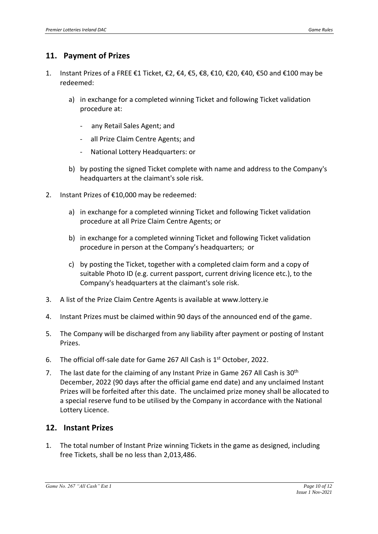## **11. Payment of Prizes**

- 1. Instant Prizes of a FREE €1 Ticket, €2, €4, €5, €8, €10, €20, €40, €50 and €100 may be redeemed:
	- a) in exchange for a completed winning Ticket and following Ticket validation procedure at:
		- any Retail Sales Agent; and
		- all Prize Claim Centre Agents; and
		- National Lottery Headquarters: or
	- b) by posting the signed Ticket complete with name and address to the Company's headquarters at the claimant's sole risk.
- 2. Instant Prizes of €10,000 may be redeemed:
	- a) in exchange for a completed winning Ticket and following Ticket validation procedure at all Prize Claim Centre Agents; or
	- b) in exchange for a completed winning Ticket and following Ticket validation procedure in person at the Company's headquarters; or
	- c) by posting the Ticket, together with a completed claim form and a copy of suitable Photo ID (e.g. current passport, current driving licence etc.), to the Company's headquarters at the claimant's sole risk.
- 3. A list of the Prize Claim Centre Agents is available at www.lottery.ie
- 4. Instant Prizes must be claimed within 90 days of the announced end of the game.
- 5. The Company will be discharged from any liability after payment or posting of Instant Prizes.
- 6. The official off-sale date for Game 267 All Cash is  $1<sup>st</sup>$  October, 2022.
- 7. The last date for the claiming of any Instant Prize in Game 267 All Cash is  $30<sup>th</sup>$ December, 2022 (90 days after the official game end date) and any unclaimed Instant Prizes will be forfeited after this date. The unclaimed prize money shall be allocated to a special reserve fund to be utilised by the Company in accordance with the National Lottery Licence.

## **12. Instant Prizes**

1. The total number of Instant Prize winning Tickets in the game as designed, including free Tickets, shall be no less than 2,013,486.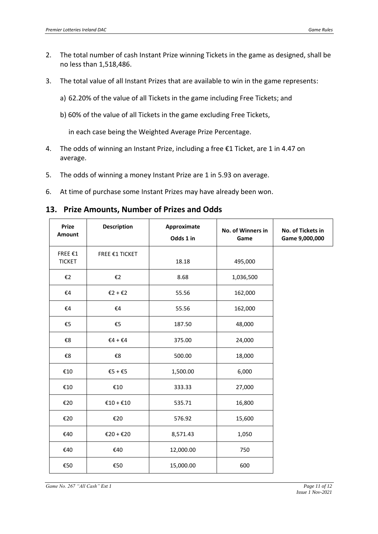- 2. The total number of cash Instant Prize winning Tickets in the game as designed, shall be no less than 1,518,486.
- 3. The total value of all Instant Prizes that are available to win in the game represents:
	- a) 62.20% of the value of all Tickets in the game including Free Tickets; and
	- b) 60% of the value of all Tickets in the game excluding Free Tickets,

in each case being the Weighted Average Prize Percentage.

- 4. The odds of winning an Instant Prize, including a free €1 Ticket, are 1 in 4.47 on average.
- 5. The odds of winning a money Instant Prize are 1 in 5.93 on average.
- 6. At time of purchase some Instant Prizes may have already been won.

|  | 13. Prize Amounts, Number of Prizes and Odds |  |  |  |
|--|----------------------------------------------|--|--|--|
|--|----------------------------------------------|--|--|--|

| <b>Prize</b><br><b>Amount</b> | <b>Description</b>    | Approximate<br>Odds 1 in | No. of Winners in<br>Game | No. of Tickets in<br>Game 9,000,000 |
|-------------------------------|-----------------------|--------------------------|---------------------------|-------------------------------------|
| FREE €1<br><b>TICKET</b>      | <b>FREE €1 TICKET</b> | 18.18                    | 495,000                   |                                     |
| €2                            | $\epsilon$ 2          | 8.68                     | 1,036,500                 |                                     |
| €4                            | €2 + €2               | 55.56                    | 162,000                   |                                     |
| €4                            | €4                    | 55.56                    | 162,000                   |                                     |
| $\epsilon$                    | £5                    | 187.50                   | 48,000                    |                                     |
| €8                            | €4 + €4               | 375.00                   | 24,000                    |                                     |
| $\mathfrak{k}8$               | €8                    | 500.00                   | 18,000                    |                                     |
| €10                           | €5 + €5               | 1,500.00                 | 6,000                     |                                     |
| €10                           | €10                   | 333.33                   | 27,000                    |                                     |
| €20                           | €10 + €10             | 535.71                   | 16,800                    |                                     |
| €20                           | €20                   | 576.92                   | 15,600                    |                                     |
| €40                           | €20+€20               | 8,571.43                 | 1,050                     |                                     |
| €40                           | €40                   | 12,000.00                | 750                       |                                     |
| €50                           | €50                   | 15,000.00                | 600                       |                                     |

*Game No. 267 "All Cash" Ext 1 Page 11 of 12*